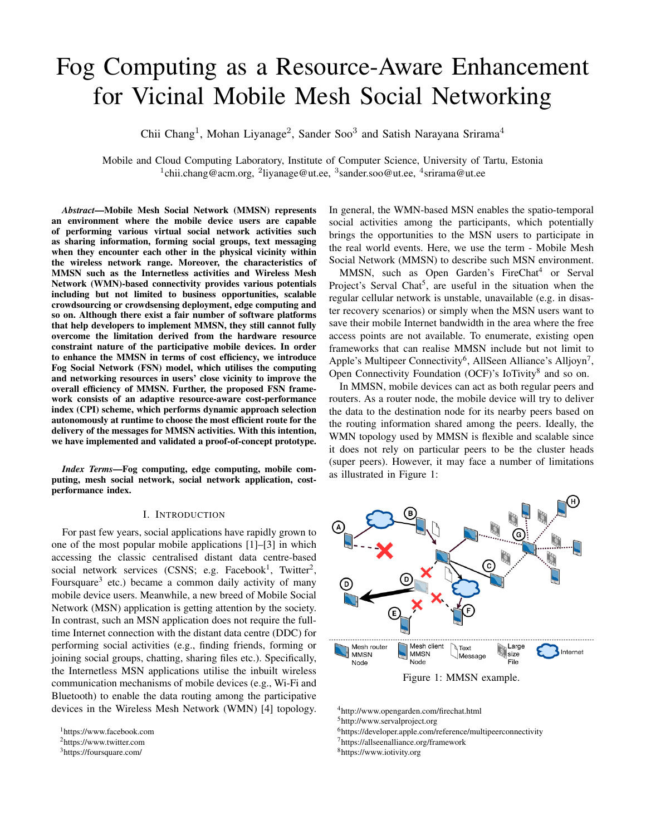# Fog Computing as a Resource-Aware Enhancement for Vicinal Mobile Mesh Social Networking

Chii Chang<sup>1</sup>, Mohan Liyanage<sup>2</sup>, Sander Soo<sup>3</sup> and Satish Narayana Srirama<sup>4</sup>

Mobile and Cloud Computing Laboratory, Institute of Computer Science, University of Tartu, Estonia <sup>1</sup>chii.chang@acm.org, <sup>2</sup>liyanage@ut.ee, <sup>3</sup>sander.soo@ut.ee, <sup>4</sup>srirama@ut.ee

*Abstract*—Mobile Mesh Social Network (MMSN) represents an environment where the mobile device users are capable of performing various virtual social network activities such as sharing information, forming social groups, text messaging when they encounter each other in the physical vicinity within the wireless network range. Moreover, the characteristics of MMSN such as the Internetless activities and Wireless Mesh Network (WMN)-based connectivity provides various potentials including but not limited to business opportunities, scalable crowdsourcing or crowdsensing deployment, edge computing and so on. Although there exist a fair number of software platforms that help developers to implement MMSN, they still cannot fully overcome the limitation derived from the hardware resource constraint nature of the participative mobile devices. In order to enhance the MMSN in terms of cost efficiency, we introduce Fog Social Network (FSN) model, which utilises the computing and networking resources in users' close vicinity to improve the overall efficiency of MMSN. Further, the proposed FSN framework consists of an adaptive resource-aware cost-performance index (CPI) scheme, which performs dynamic approach selection autonomously at runtime to choose the most efficient route for the delivery of the messages for MMSN activities. With this intention, we have implemented and validated a proof-of-concept prototype.

*Index Terms*—Fog computing, edge computing, mobile computing, mesh social network, social network application, costperformance index.

#### I. INTRODUCTION

For past few years, social applications have rapidly grown to one of the most popular mobile applications [\[1\]](#page-7-0)–[\[3\]](#page-7-1) in which accessing the classic centralised distant data centre-based social network services (CSNS; e.g. Facebook<sup>[1](#page-0-0)</sup>, Twitter<sup>[2](#page-0-1)</sup>, Foursquare<sup>[3](#page-0-2)</sup> etc.) became a common daily activity of many mobile device users. Meanwhile, a new breed of Mobile Social Network (MSN) application is getting attention by the society. In contrast, such an MSN application does not require the fulltime Internet connection with the distant data centre (DDC) for performing social activities (e.g., finding friends, forming or joining social groups, chatting, sharing files etc.). Specifically, the Internetless MSN applications utilise the inbuilt wireless communication mechanisms of mobile devices (e.g., Wi-Fi and Bluetooth) to enable the data routing among the participative devices in the Wireless Mesh Network (WMN) [\[4\]](#page-7-2) topology.

<span id="page-0-2"></span><sup>3</sup><https://foursquare.com/>

In general, the WMN-based MSN enables the spatio-temporal social activities among the participants, which potentially brings the opportunities to the MSN users to participate in the real world events. Here, we use the term - Mobile Mesh Social Network (MMSN) to describe such MSN environment.

MMSN, such as Open Garden's FireChat<sup>[4](#page-0-3)</sup> or Serval Project's Serval Chat<sup>[5](#page-0-4)</sup>, are useful in the situation when the regular cellular network is unstable, unavailable (e.g. in disaster recovery scenarios) or simply when the MSN users want to save their mobile Internet bandwidth in the area where the free access points are not available. To enumerate, existing open frameworks that can realise MMSN include but not limit to Apple's Multipeer Connectivity<sup>[6](#page-0-5)</sup>, AllSeen Alliance's Alljoyn<sup>[7](#page-0-6)</sup>, Open Connectivity Foundation (OCF)'s IoTivity<sup>[8](#page-0-7)</sup> and so on.

In MMSN, mobile devices can act as both regular peers and routers. As a router node, the mobile device will try to deliver the data to the destination node for its nearby peers based on the routing information shared among the peers. Ideally, the WMN topology used by MMSN is flexible and scalable since it does not rely on particular peers to be the cluster heads (super peers). However, it may face a number of limitations as illustrated in Figure 1:

<span id="page-0-8"></span>

Figure 1: MMSN example.

<span id="page-0-3"></span><sup>4</sup><http://www.opengarden.com/firechat.html>

<span id="page-0-6"></span><sup>7</sup><https://allseenalliance.org/framework>

<span id="page-0-0"></span><sup>1</sup><https://www.facebook.com>

<span id="page-0-1"></span><sup>2</sup><https://www.twitter.com>

<span id="page-0-4"></span><sup>5</sup><http://www.servalproject.org>

<span id="page-0-5"></span><sup>6</sup><https://developer.apple.com/reference/multipeerconnectivity>

<span id="page-0-7"></span><sup>8</sup><https://www.iotivity.org>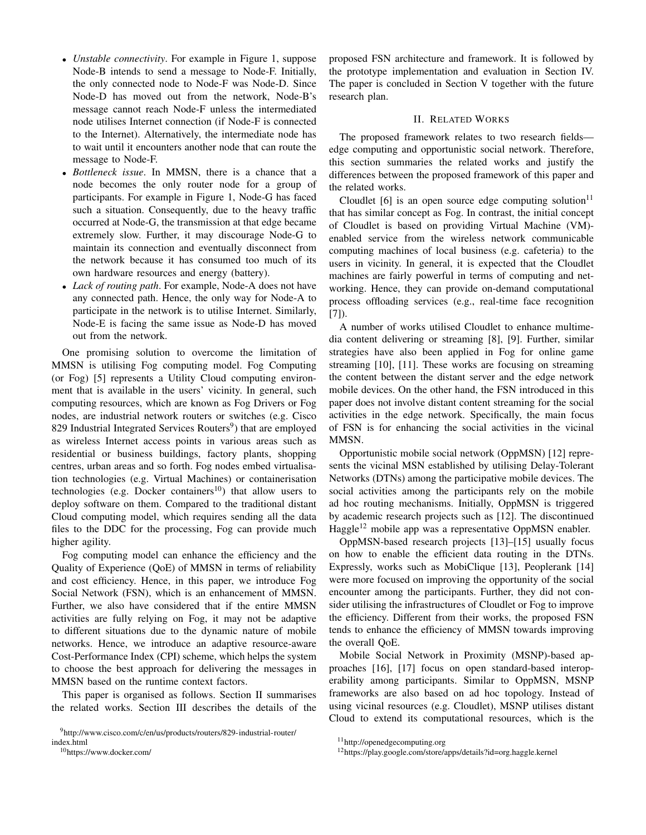- *Unstable connectivity*. For example in Figure [1,](#page-0-8) suppose Node-B intends to send a message to Node-F. Initially, the only connected node to Node-F was Node-D. Since Node-D has moved out from the network, Node-B's message cannot reach Node-F unless the intermediated node utilises Internet connection (if Node-F is connected to the Internet). Alternatively, the intermediate node has to wait until it encounters another node that can route the message to Node-F.
- *Bottleneck issue*. In MMSN, there is a chance that a node becomes the only router node for a group of participants. For example in Figure 1, Node-G has faced such a situation. Consequently, due to the heavy traffic occurred at Node-G, the transmission at that edge became extremely slow. Further, it may discourage Node-G to maintain its connection and eventually disconnect from the network because it has consumed too much of its own hardware resources and energy (battery).
- *Lack of routing path*. For example, Node-A does not have any connected path. Hence, the only way for Node-A to participate in the network is to utilise Internet. Similarly, Node-E is facing the same issue as Node-D has moved out from the network.

One promising solution to overcome the limitation of MMSN is utilising Fog computing model. Fog Computing (or Fog) [\[5\]](#page-7-3) represents a Utility Cloud computing environment that is available in the users' vicinity. In general, such computing resources, which are known as Fog Drivers or Fog nodes, are industrial network routers or switches (e.g. Cisco 82[9](#page-1-0) Industrial Integrated Services Routers<sup>9</sup>) that are employed as wireless Internet access points in various areas such as residential or business buildings, factory plants, shopping centres, urban areas and so forth. Fog nodes embed virtualisation technologies (e.g. Virtual Machines) or containerisation technologies (e.g. Docker containers<sup>[10](#page-1-1)</sup>) that allow users to deploy software on them. Compared to the traditional distant Cloud computing model, which requires sending all the data files to the DDC for the processing, Fog can provide much higher agility.

Fog computing model can enhance the efficiency and the Quality of Experience (QoE) of MMSN in terms of reliability and cost efficiency. Hence, in this paper, we introduce Fog Social Network (FSN), which is an enhancement of MMSN. Further, we also have considered that if the entire MMSN activities are fully relying on Fog, it may not be adaptive to different situations due to the dynamic nature of mobile networks. Hence, we introduce an adaptive resource-aware Cost-Performance Index (CPI) scheme, which helps the system to choose the best approach for delivering the messages in MMSN based on the runtime context factors.

This paper is organised as follows. Section II summarises the related works. Section III describes the details of the

<span id="page-1-1"></span><sup>10</sup><https://www.docker.com/>

proposed FSN architecture and framework. It is followed by the prototype implementation and evaluation in Section IV. The paper is concluded in Section V together with the future research plan.

# II. RELATED WORKS

The proposed framework relates to two research fields edge computing and opportunistic social network. Therefore, this section summaries the related works and justify the differences between the proposed framework of this paper and the related works.

Cloudlet  $[6]$  is an open source edge computing solution<sup>[11](#page-1-2)</sup> that has similar concept as Fog. In contrast, the initial concept of Cloudlet is based on providing Virtual Machine (VM) enabled service from the wireless network communicable computing machines of local business (e.g. cafeteria) to the users in vicinity. In general, it is expected that the Cloudlet machines are fairly powerful in terms of computing and networking. Hence, they can provide on-demand computational process offloading services (e.g., real-time face recognition [\[7\]](#page-7-5)).

A number of works utilised Cloudlet to enhance multimedia content delivering or streaming [\[8\]](#page-7-6), [\[9\]](#page-7-7). Further, similar strategies have also been applied in Fog for online game streaming [\[10\]](#page-7-8), [\[11\]](#page-7-9). These works are focusing on streaming the content between the distant server and the edge network mobile devices. On the other hand, the FSN introduced in this paper does not involve distant content streaming for the social activities in the edge network. Specifically, the main focus of FSN is for enhancing the social activities in the vicinal MMSN.

Opportunistic mobile social network (OppMSN) [\[12\]](#page-7-10) represents the vicinal MSN established by utilising Delay-Tolerant Networks (DTNs) among the participative mobile devices. The social activities among the participants rely on the mobile ad hoc routing mechanisms. Initially, OppMSN is triggered by academic research projects such as [\[12\]](#page-7-10). The discontinued Haggle<sup>[12](#page-1-3)</sup> mobile app was a representative OppMSN enabler.

OppMSN-based research projects [\[13\]](#page-7-11)–[\[15\]](#page-7-12) usually focus on how to enable the efficient data routing in the DTNs. Expressly, works such as MobiClique [\[13\]](#page-7-11), Peoplerank [\[14\]](#page-7-13) were more focused on improving the opportunity of the social encounter among the participants. Further, they did not consider utilising the infrastructures of Cloudlet or Fog to improve the efficiency. Different from their works, the proposed FSN tends to enhance the efficiency of MMSN towards improving the overall QoE.

Mobile Social Network in Proximity (MSNP)-based approaches [\[16\]](#page-7-14), [\[17\]](#page-7-15) focus on open standard-based interoperability among participants. Similar to OppMSN, MSNP frameworks are also based on ad hoc topology. Instead of using vicinal resources (e.g. Cloudlet), MSNP utilises distant Cloud to extend its computational resources, which is the

<span id="page-1-0"></span><sup>9</sup>[http://www.cisco.com/c/en/us/products/routers/829-industrial-router/](http://www.cisco.com/c/en/us/products/routers/829-industrial-router/index.html) [index.html](http://www.cisco.com/c/en/us/products/routers/829-industrial-router/index.html)

<span id="page-1-2"></span><sup>11</sup>[http://openedgecomputing.org]( http://openedgecomputing.org)

<span id="page-1-3"></span><sup>12</sup><https://play.google.com/store/apps/details?id=org.haggle.kernel>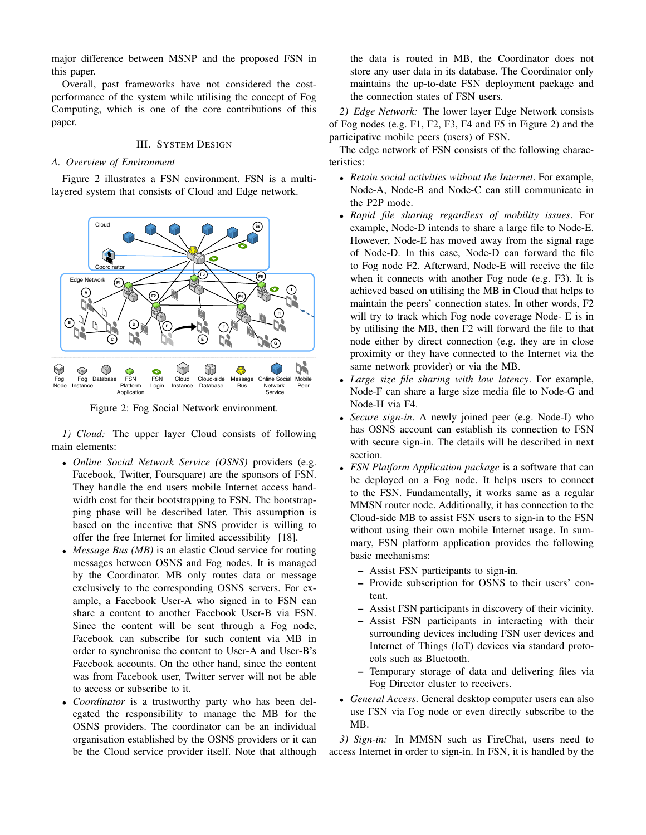major difference between MSNP and the proposed FSN in this paper.

Overall, past frameworks have not considered the costperformance of the system while utilising the concept of Fog Computing, which is one of the core contributions of this paper.

# III. SYSTEM DESIGN

# *A. Overview of Environment*

Figure [2](#page-2-0) illustrates a FSN environment. FSN is a multilayered system that consists of Cloud and Edge network.

<span id="page-2-0"></span>

Figure 2: Fog Social Network environment.

*1) Cloud:* The upper layer Cloud consists of following has main elements:

- *Online Social Network Service (OSNS)* providers (e.g. Facebook, Twitter, Foursquare) are the sponsors of FSN. They handle the end users mobile Internet access bandwidth cost for their bootstrapping to FSN. The bootstrapping phase will be described later. This assumption is based on the incentive that SNS provider is willing to offer the free Internet for limited accessibility [\[18\]](#page-7-16).
- *Message Bus (MB)* is an elastic Cloud service for routing messages between OSNS and Fog nodes. It is managed by the Coordinator. MB only routes data or message exclusively to the corresponding OSNS servers. For example, a Facebook User-A who signed in to FSN can share a content to another Facebook User-B via FSN. Since the content will be sent through a Fog node, Facebook can subscribe for such content via MB in order to synchronise the content to User-A and User-B's Facebook accounts. On the other hand, since the content was from Facebook user, Twitter server will not be able to access or subscribe to it.
- *Coordinator* is a trustworthy party who has been delegated the responsibility to manage the MB for the OSNS providers. The coordinator can be an individual organisation established by the OSNS providers or it can be the Cloud service provider itself. Note that although

the data is routed in MB, the Coordinator does not store any user data in its database. The Coordinator only maintains the up-to-date FSN deployment package and the connection states of FSN users.

*2) Edge Network:* The lower layer Edge Network consists of Fog nodes (e.g. F1, F2, F3, F4 and F5 in Figure [2\)](#page-2-0) and the participative mobile peers (users) of FSN.

The edge network of FSN consists of the following characteristics:

- *Retain social activities without the Internet*. For example, Node-A, Node-B and Node-C can still communicate in the P2P mode.
- *Rapid file sharing regardless of mobility issues*. For example, Node-D intends to share a large file to Node-E. However, Node-E has moved away from the signal rage of Node-D. In this case, Node-D can forward the file to Fog node F2. Afterward, Node-E will receive the file when it connects with another Fog node (e.g. F3). It is achieved based on utilising the MB in Cloud that helps to maintain the peers' connection states. In other words, F2 will try to track which Fog node coverage Node- E is in by utilising the MB, then F2 will forward the file to that node either by direct connection (e.g. they are in close proximity or they have connected to the Internet via the same network provider) or via the MB.
- *Large size file sharing with low latency*. For example, Node-F can share a large size media file to Node-G and Node-H via F4.
- *Secure sign-in*. A newly joined peer (e.g. Node-I) who has OSNS account can establish its connection to FSN with secure sign-in. The details will be described in next section.
- *FSN Platform Application package* is a software that can be deployed on a Fog node. It helps users to connect to the FSN. Fundamentally, it works same as a regular MMSN router node. Additionally, it has connection to the Cloud-side MB to assist FSN users to sign-in to the FSN without using their own mobile Internet usage. In summary, FSN platform application provides the following basic mechanisms:
	- Assist FSN participants to sign-in.
	- Provide subscription for OSNS to their users' content.
	- Assist FSN participants in discovery of their vicinity.
	- Assist FSN participants in interacting with their surrounding devices including FSN user devices and Internet of Things (IoT) devices via standard protocols such as Bluetooth.
	- Temporary storage of data and delivering files via Fog Director cluster to receivers.
- *General Access*. General desktop computer users can also use FSN via Fog node or even directly subscribe to the MB.

*3) Sign-in:* In MMSN such as FireChat, users need to access Internet in order to sign-in. In FSN, it is handled by the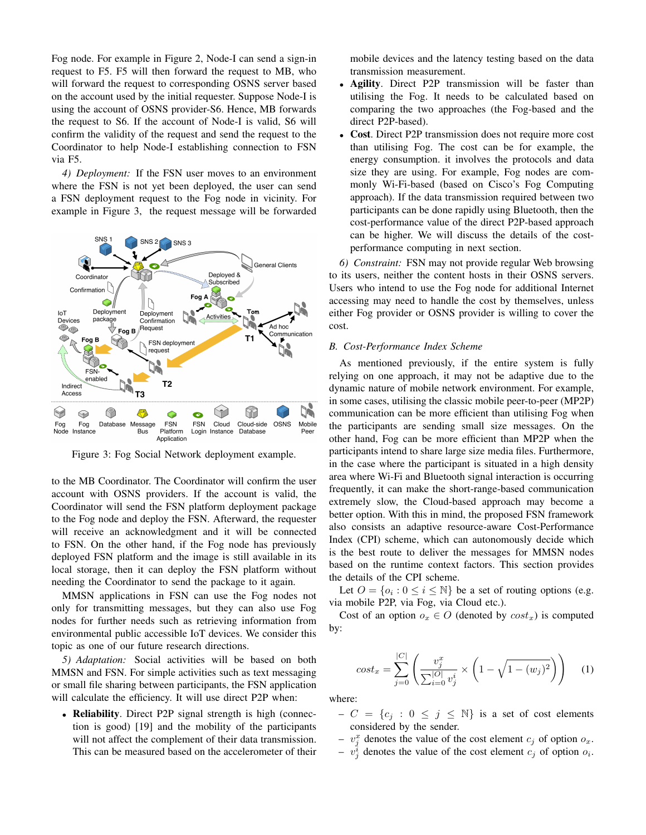Fog node. For example in Figure [2,](#page-2-0) Node-I can send a sign-in request to F5. F5 will then forward the request to MB, who will forward the request to corresponding OSNS server based on the account used by the initial requester. Suppose Node-I is using the account of OSNS provider-S6. Hence, MB forwards the request to S6. If the account of Node-I is valid, S6 will confirm the validity of the request and send the request to the Coordinator to help Node-I establishing connection to FSN via F5.

*4) Deployment:* If the FSN user moves to an environment where the FSN is not yet been deployed, the user can send a FSN deployment request to the Fog node in vicinity. For example in Figure [3,](#page-3-0) the request message will be forwarded

<span id="page-3-0"></span>

Figure 3: Fog Social Network deployment example.

to the MB Coordinator. The Coordinator will confirm the user account with OSNS providers. If the account is valid, the Coordinator will send the FSN platform deployment package to the Fog node and deploy the FSN. Afterward, the requester will receive an acknowledgment and it will be connected to FSN. On the other hand, if the Fog node has previously deployed FSN platform and the image is still available in its local storage, then it can deploy the FSN platform without needing the Coordinator to send the package to it again.

MMSN applications in FSN can use the Fog nodes not only for transmitting messages, but they can also use Fog nodes for further needs such as retrieving information from environmental public accessible IoT devices. We consider this topic as one of our future research directions.

*5) Adaptation:* Social activities will be based on both MMSN and FSN. For simple activities such as text messaging or small file sharing between participants, the FSN application will calculate the efficiency. It will use direct P2P when:

• Reliability. Direct P2P signal strength is high (connection is good) [\[19\]](#page-7-17) and the mobility of the participants will not affect the complement of their data transmission. This can be measured based on the accelerometer of their mobile devices and the latency testing based on the data transmission measurement.

- Agility. Direct P2P transmission will be faster than utilising the Fog. It needs to be calculated based on comparing the two approaches (the Fog-based and the direct P2P-based).
- Cost. Direct P2P transmission does not require more cost than utilising Fog. The cost can be for example, the energy consumption. it involves the protocols and data size they are using. For example, Fog nodes are commonly Wi-Fi-based (based on Cisco's Fog Computing approach). If the data transmission required between two participants can be done rapidly using Bluetooth, then the cost-performance value of the direct P2P-based approach can be higher. We will discuss the details of the costperformance computing in next section.

*6) Constraint:* FSN may not provide regular Web browsing to its users, neither the content hosts in their OSNS servers. Users who intend to use the Fog node for additional Internet accessing may need to handle the cost by themselves, unless either Fog provider or OSNS provider is willing to cover the cost.

## *B. Cost-Performance Index Scheme*

As mentioned previously, if the entire system is fully relying on one approach, it may not be adaptive due to the dynamic nature of mobile network environment. For example, in some cases, utilising the classic mobile peer-to-peer (MP2P) communication can be more efficient than utilising Fog when the participants are sending small size messages. On the other hand, Fog can be more efficient than MP2P when the participants intend to share large size media files. Furthermore, in the case where the participant is situated in a high density area where Wi-Fi and Bluetooth signal interaction is occurring frequently, it can make the short-range-based communication extremely slow, the Cloud-based approach may become a better option. With this in mind, the proposed FSN framework also consists an adaptive resource-aware Cost-Performance Index (CPI) scheme, which can autonomously decide which is the best route to deliver the messages for MMSN nodes based on the runtime context factors. This section provides the details of the CPI scheme.

Let  $O = \{o_i : 0 \le i \le \mathbb{N}\}\$  be a set of routing options (e.g. via mobile P2P, via Fog, via Cloud etc.).

Cost of an option  $o_x \in O$  (denoted by  $cost_x$ ) is computed by:

$$
cost_x = \sum_{j=0}^{|C|} \left( \frac{v_j^x}{\sum_{i=0}^{|O|} v_j^i} \times \left( 1 - \sqrt{1 - (w_j)^2} \right) \right) \tag{1}
$$

where:

- $-C = \{c_j : 0 \le j \le N\}$  is a set of cost elements considered by the sender.
- $v_j^x$  denotes the value of the cost element  $c_j$  of option  $o_x$ .
- $v_j^i$  denotes the value of the cost element  $c_j$  of option  $o_i$ .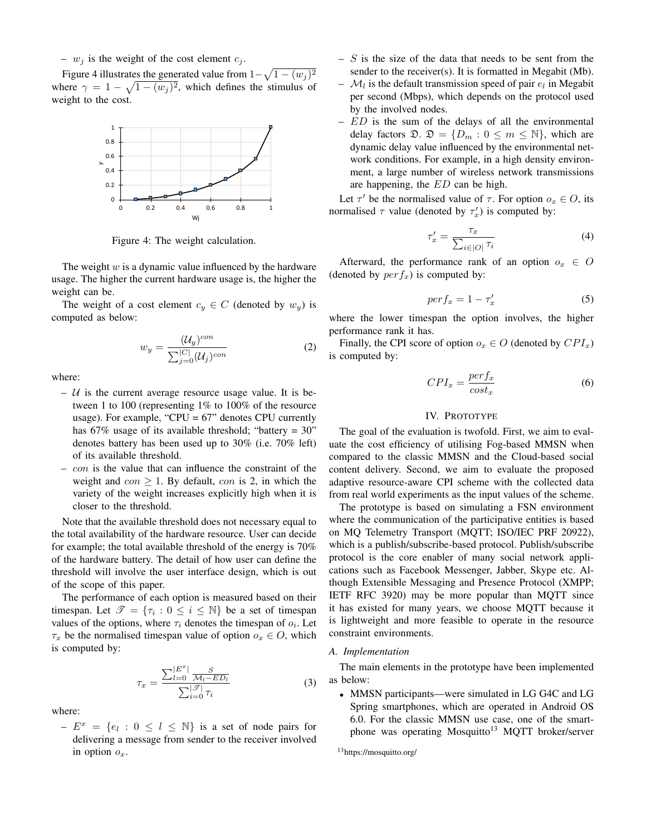–  $w_j$  is the weight of the cost element  $c_j$ .

Figure [4](#page-4-0) illustrates the generated value from  $1 - \sqrt{1 - (w_j)^2}$ where  $\gamma = 1 - \sqrt{1 - (w_j)^2}$ , which defines the stimulus of weight to the cost.

<span id="page-4-0"></span>

Figure 4: The weight calculation.

The weight  $w$  is a dynamic value influenced by the hardware usage. The higher the current hardware usage is, the higher the weight can be.

The weight of a cost element  $c_y \in C$  (denoted by  $w_y$ ) is computed as below:

$$
w_y = \frac{(\mathcal{U}_y)^{con}}{\sum_{j=0}^{|C|} (\mathcal{U}_j)^{con}}
$$
 (2)

where:

- $U$  is the current average resource usage value. It is between 1 to 100 (representing 1% to 100% of the resource usage). For example, "CPU =  $67$ " denotes CPU currently has  $67\%$  usage of its available threshold; "battery = 30" denotes battery has been used up to 30% (i.e. 70% left) of its available threshold.
- con is the value that can influence the constraint of the weight and  $con \geq 1$ . By default, con is 2, in which the variety of the weight increases explicitly high when it is closer to the threshold.

Note that the available threshold does not necessary equal to the total availability of the hardware resource. User can decide for example; the total available threshold of the energy is 70% of the hardware battery. The detail of how user can define the threshold will involve the user interface design, which is out of the scope of this paper.

The performance of each option is measured based on their timespan. Let  $\mathscr{T} = \{\tau_i : 0 \leq i \leq \mathbb{N}\}\$ be a set of timespan values of the options, where  $\tau_i$  denotes the timespan of  $o_i$ . Let  $\tau_x$  be the normalised timespan value of option  $o_x \in O$ , which is computed by:

$$
\tau_x = \frac{\sum_{l=0}^{|E^x|} \frac{S}{\mathcal{M}_l - ED_l}}{\sum_{i=0}^{|\mathcal{F}|} \tau_i} \tag{3}
$$

where:

 $-E^x = \{e_l : 0 \leq l \leq \mathbb{N}\}\$ is a set of node pairs for delivering a message from sender to the receiver involved in option  $o_x$ .

- $S$  is the size of the data that needs to be sent from the sender to the receiver(s). It is formatted in Megabit (Mb).
- $\mathcal{M}_l$  is the default transmission speed of pair  $e_l$  in Megabit per second (Mbps), which depends on the protocol used by the involved nodes.
- $ED$  is the sum of the delays of all the environmental delay factors  $\mathfrak{D}$ .  $\mathfrak{D} = \{D_m : 0 \leq m \leq \mathbb{N}\}\,$ , which are dynamic delay value influenced by the environmental network conditions. For example, in a high density environment, a large number of wireless network transmissions are happening, the ED can be high.

Let  $\tau'$  be the normalised value of  $\tau$ . For option  $o_x \in O$ , its normalised  $\tau$  value (denoted by  $\tau'_x$ ) is computed by:

$$
\tau_x' = \frac{\tau_x}{\sum_{i \in |O|} \tau_i} \tag{4}
$$

Afterward, the performance rank of an option  $o_x \in O$ (denoted by  $perf_x$ ) is computed by:

$$
perf_x = 1 - \tau'_x \tag{5}
$$

where the lower timespan the option involves, the higher performance rank it has.

Finally, the CPI score of option  $o_x \in O$  (denoted by  $CPI_x$ ) is computed by:

$$
CPI_x = \frac{perf_x}{cost_x} \tag{6}
$$

### IV. PROTOTYPE

The goal of the evaluation is twofold. First, we aim to evaluate the cost efficiency of utilising Fog-based MMSN when compared to the classic MMSN and the Cloud-based social content delivery. Second, we aim to evaluate the proposed adaptive resource-aware CPI scheme with the collected data from real world experiments as the input values of the scheme.

The prototype is based on simulating a FSN environment where the communication of the participative entities is based on MQ Telemetry Transport (MQTT; ISO/IEC PRF 20922), which is a publish/subscribe-based protocol. Publish/subscribe protocol is the core enabler of many social network applications such as Facebook Messenger, Jabber, Skype etc. Although Extensible Messaging and Presence Protocol (XMPP; IETF RFC 3920) may be more popular than MQTT since it has existed for many years, we choose MQTT because it is lightweight and more feasible to operate in the resource constraint environments.

# *A. Implementation*

The main elements in the prototype have been implemented as below:

• MMSN participants—were simulated in LG G4C and LG Spring smartphones, which are operated in Android OS 6.0. For the classic MMSN use case, one of the smart-phone was operating Mosquitto<sup>[13](#page-4-1)</sup> MQTT broker/server

<span id="page-4-1"></span><sup>13</sup><https://mosquitto.org/>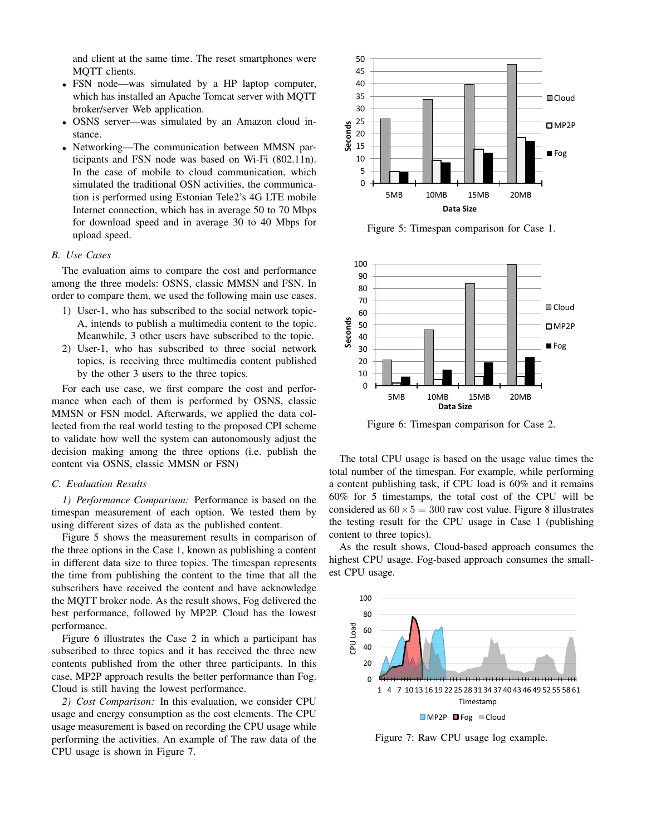and client at the same time. The reset smartphones were MQTT clients.

- FSN node—was simulated by a HP laptop computer, which has installed an Apache Tomcat server with MQTT broker/server Web application.
- OSNS server—was simulated by an Amazon cloud instance.
- Networking—The communication between MMSN participants and FSN node was based on Wi-Fi (802.11n). In the case of mobile to cloud communication, which simulated the traditional OSN activities, the communication is performed using Estonian Tele2's 4G LTE mobile Internet connection, which has in average 50 to 70 Mbps for download speed and in average 30 to 40 Mbps for upload speed.

## *B. Use Cases*

The evaluation aims to compare the cost and performance among the three models: OSNS, classic MMSN and FSN. In order to compare them, we used the following main use cases.

- 1) User-1, who has subscribed to the social network topic-A, intends to publish a multimedia content to the topic. Meanwhile, 3 other users have subscribed to the topic.
- 2) User-1, who has subscribed to three social network topics, is receiving three multimedia content published by the other 3 users to the three topics.

For each use case, we first compare the cost and performance when each of them is performed by OSNS, classic MMSN or FSN model. Afterwards, we applied the data collected from the real world testing to the proposed CPI scheme to validate how well the system can autonomously adjust the decision making among the three options (i.e. publish the content via OSNS, classic MMSN or FSN)

#### *C. Evaluation Results*

*1) Performance Comparison:* Performance is based on the timespan measurement of each option. We tested them by using different sizes of data as the published content.

Figure [5](#page-5-0) shows the measurement results in comparison of the three options in the Case 1, known as publishing a content in different data size to three topics. The timespan represents the time from publishing the content to the time that all the subscribers have received the content and have acknowledge the MQTT broker node. As the result shows, Fog delivered the best performance, followed by MP2P. Cloud has the lowest performance.

Figure [6](#page-5-1) illustrates the Case 2 in which a participant has subscribed to three topics and it has received the three new contents published from the other three participants. In this case, MP2P approach results the better performance than Fog. Cloud is still having the lowest performance.

*2) Cost Comparison:* In this evaluation, we consider CPU usage and energy consumption as the cost elements. The CPU usage measurement is based on recording the CPU usage while performing the activities. An example of The raw data of the CPU usage is shown in Figure [7.](#page-5-2)

<span id="page-5-0"></span>

Figure 5: Timespan comparison for Case 1.

<span id="page-5-1"></span>

Figure 6: Timespan comparison for Case 2.

The total CPU usage is based on the usage value times the total number of the timespan. For example, while performing a content publishing task, if CPU load is 60% and it remains 60% for 5 timestamps, the total cost of the CPU will be considered as  $60 \times 5 = 300$  raw cost value. Figure [8](#page-6-0) illustrates the testing result for the CPU usage in Case 1 (publishing content to three topics).

As the result shows, Cloud-based approach consumes the highest CPU usage. Fog-based approach consumes the smallest CPU usage.

<span id="page-5-2"></span>

Figure 7: Raw CPU usage log example.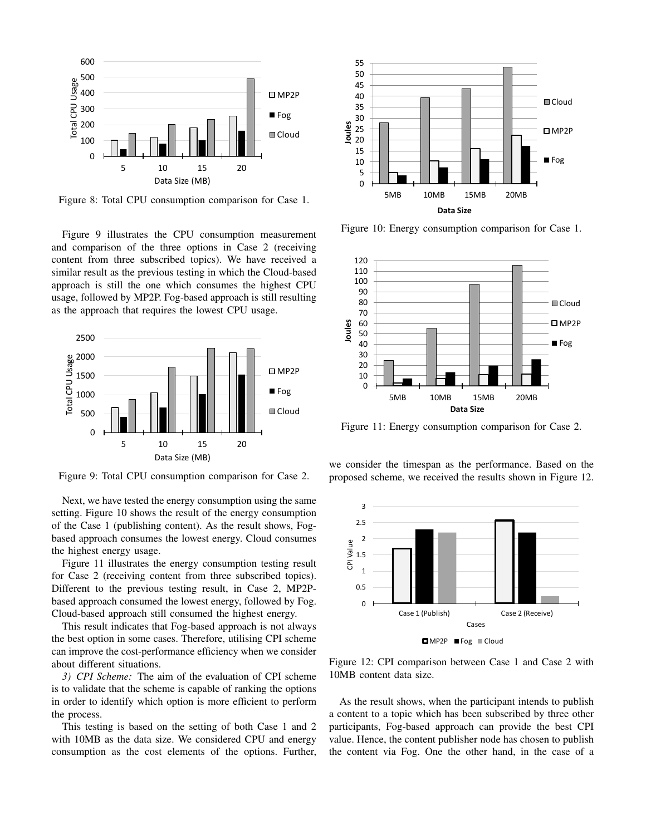<span id="page-6-0"></span>

Figure 8: Total CPU consumption comparison for Case 1.

Figure [9](#page-6-1) illustrates the CPU consumption measurement and comparison of the three options in Case 2 (receiving content from three subscribed topics). We have received a similar result as the previous testing in which the Cloud-based approach is still the one which consumes the highest CPU usage, followed by MP2P. Fog-based approach is still resulting as the approach that requires the lowest CPU usage.

<span id="page-6-1"></span>

Figure 9: Total CPU consumption comparison for Case 2.

Next, we have tested the energy consumption using the same setting. Figure [10](#page-6-2) shows the result of the energy consumption of the Case 1 (publishing content). As the result shows, Fogbased approach consumes the lowest energy. Cloud consumes the highest energy usage.

Figure [11](#page-6-3) illustrates the energy consumption testing result for Case 2 (receiving content from three subscribed topics). Different to the previous testing result, in Case 2, MP2Pbased approach consumed the lowest energy, followed by Fog. Cloud-based approach still consumed the highest energy.

This result indicates that Fog-based approach is not always the best option in some cases. Therefore, utilising CPI scheme can improve the cost-performance efficiency when we consider about different situations.

*3) CPI Scheme:* The aim of the evaluation of CPI scheme is to validate that the scheme is capable of ranking the options in order to identify which option is more efficient to perform the process.

This testing is based on the setting of both Case 1 and 2 with 10MB as the data size. We considered CPU and energy consumption as the cost elements of the options. Further,

<span id="page-6-2"></span>

Figure 10: Energy consumption comparison for Case 1.

<span id="page-6-3"></span>

Figure 11: Energy consumption comparison for Case 2.

we consider the timespan as the performance. Based on the proposed scheme, we received the results shown in Figure [12.](#page-6-4)

<span id="page-6-4"></span>

Figure 12: CPI comparison between Case 1 and Case 2 with 10MB content data size.

As the result shows, when the participant intends to publish a content to a topic which has been subscribed by three other participants, Fog-based approach can provide the best CPI value. Hence, the content publisher node has chosen to publish the content via Fog. One the other hand, in the case of a